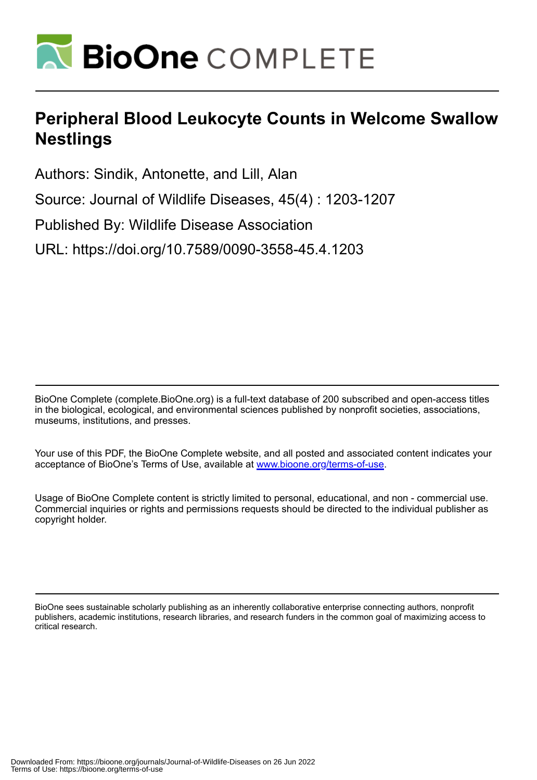

## **Peripheral Blood Leukocyte Counts in Welcome Swallow Nestlings**

Authors: Sindik, Antonette, and Lill, Alan

Source: Journal of Wildlife Diseases, 45(4) : 1203-1207

Published By: Wildlife Disease Association

URL: https://doi.org/10.7589/0090-3558-45.4.1203

BioOne Complete (complete.BioOne.org) is a full-text database of 200 subscribed and open-access titles in the biological, ecological, and environmental sciences published by nonprofit societies, associations, museums, institutions, and presses.

Your use of this PDF, the BioOne Complete website, and all posted and associated content indicates your acceptance of BioOne's Terms of Use, available at www.bioone.org/terms-of-use.

Usage of BioOne Complete content is strictly limited to personal, educational, and non - commercial use. Commercial inquiries or rights and permissions requests should be directed to the individual publisher as copyright holder.

BioOne sees sustainable scholarly publishing as an inherently collaborative enterprise connecting authors, nonprofit publishers, academic institutions, research libraries, and research funders in the common goal of maximizing access to critical research.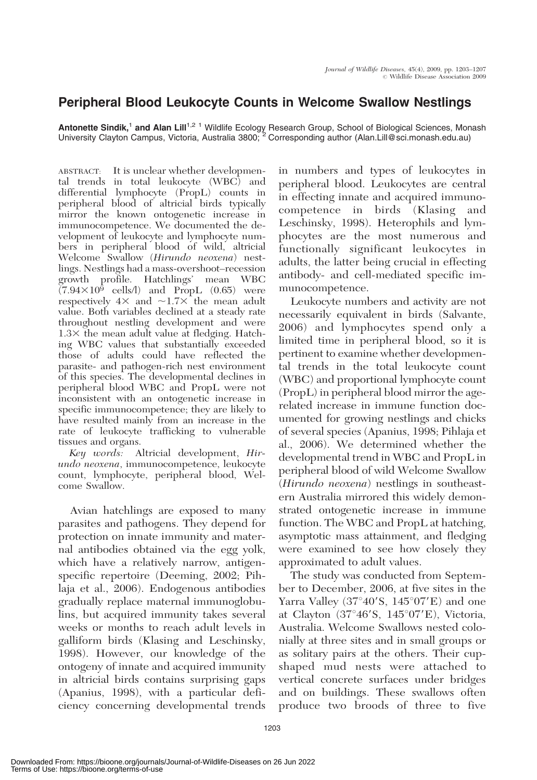## Peripheral Blood Leukocyte Counts in Welcome Swallow Nestlings

Antonette Sindik,<sup>1</sup> and Alan Lill<sup>1,2 1</sup> Wildlife Ecology Research Group, School of Biological Sciences, Monash University Clayton Campus, Victoria, Australia 3800; <sup>2</sup> Corresponding author (Alan.Lill@sci.monash.edu.au)

ABSTRACT: It is unclear whether developmental trends in total leukocyte (WBC) and differential lymphocyte (PropL) counts in peripheral blood of altricial birds typically mirror the known ontogenetic increase in immunocompetence. We documented the development of leukocyte and lymphocyte numbers in peripheral blood of wild, altricial Welcome Swallow (Hirundo neoxena) nestlings. Nestlings had a mass-overshoot–recession growth profile. Hatchlings' mean WBC  $(7.94\times10^5$  cells/l) and PropL (0.65) were respectively  $4\times$  and  $\sim$ 1.7 $\times$  the mean adult value. Both variables declined at a steady rate throughout nestling development and were  $1.3\times$  the mean adult value at fledging. Hatching WBC values that substantially exceeded those of adults could have reflected the parasite- and pathogen-rich nest environment of this species. The developmental declines in peripheral blood WBC and PropL were not inconsistent with an ontogenetic increase in specific immunocompetence; they are likely to have resulted mainly from an increase in the rate of leukocyte trafficking to vulnerable tissues and organs.

Key words: Altricial development, Hirundo neoxena, immunocompetence, leukocyte count, lymphocyte, peripheral blood, Welcome Swallow.

Avian hatchlings are exposed to many parasites and pathogens. They depend for protection on innate immunity and maternal antibodies obtained via the egg yolk, which have a relatively narrow, antigenspecific repertoire (Deeming, 2002; Pihlaja et al., 2006). Endogenous antibodies gradually replace maternal immunoglobulins, but acquired immunity takes several weeks or months to reach adult levels in galliform birds (Klasing and Leschinsky, 1998). However, our knowledge of the ontogeny of innate and acquired immunity in altricial birds contains surprising gaps (Apanius, 1998), with a particular deficiency concerning developmental trends

in numbers and types of leukocytes in peripheral blood. Leukocytes are central in effecting innate and acquired immunocompetence in birds (Klasing and Leschinsky, 1998). Heterophils and lymphocytes are the most numerous and functionally significant leukocytes in adults, the latter being crucial in effecting antibody- and cell-mediated specific immunocompetence.

Leukocyte numbers and activity are not necessarily equivalent in birds (Salvante, 2006) and lymphocytes spend only a limited time in peripheral blood, so it is pertinent to examine whether developmental trends in the total leukocyte count (WBC) and proportional lymphocyte count (PropL) in peripheral blood mirror the agerelated increase in immune function documented for growing nestlings and chicks of several species (Apanius, 1998; Pihlaja et al., 2006). We determined whether the developmental trend in WBC and PropL in peripheral blood of wild Welcome Swallow (Hirundo neoxena) nestlings in southeastern Australia mirrored this widely demonstrated ontogenetic increase in immune function. The WBC and PropL at hatching, asymptotic mass attainment, and fledging were examined to see how closely they approximated to adult values.

The study was conducted from September to December, 2006, at five sites in the Yarra Valley (37 $\degree$ 40'S, 145 $\degree$ 07'E) and one at Clayton  $(37^{\circ}46^{\prime}S, 145^{\circ}07^{\prime}E)$ , Victoria, Australia. Welcome Swallows nested colonially at three sites and in small groups or as solitary pairs at the others. Their cupshaped mud nests were attached to vertical concrete surfaces under bridges and on buildings. These swallows often produce two broods of three to five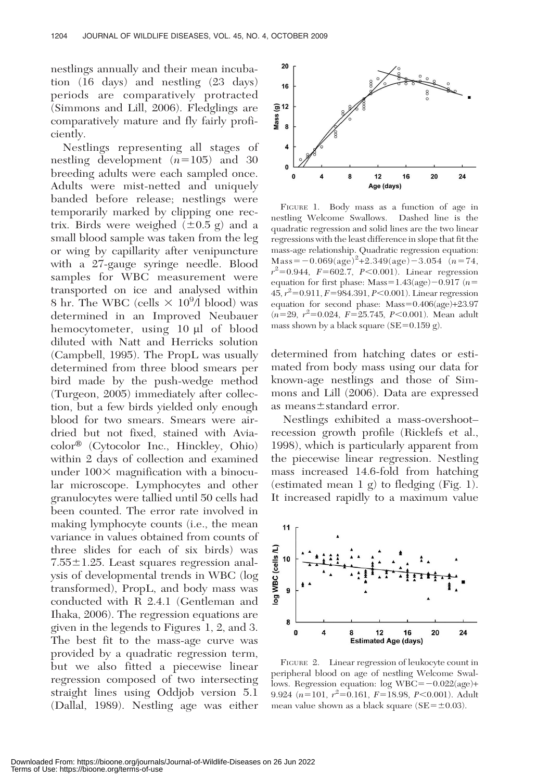nestlings annually and their mean incubation (16 days) and nestling (23 days) periods are comparatively protracted (Simmons and Lill, 2006). Fledglings are comparatively mature and fly fairly proficiently.

Nestlings representing all stages of nestling development  $(n=105)$  and 30 breeding adults were each sampled once. Adults were mist-netted and uniquely banded before release; nestlings were temporarily marked by clipping one rectrix. Birds were weighed  $(\pm 0.5 \text{ g})$  and a small blood sample was taken from the leg or wing by capillarity after venipuncture with a 27-gauge syringe needle. Blood samples for WBC measurement were transported on ice and analysed within 8 hr. The WBC (cells  $\times 10^{9}$ /l blood) was determined in an Improved Neubauer hemocytometer, using 10 µl of blood diluted with Natt and Herricks solution (Campbell, 1995). The PropL was usually determined from three blood smears per bird made by the push-wedge method (Turgeon, 2005) immediately after collection, but a few birds yielded only enough blood for two smears. Smears were airdried but not fixed, stained with Avia $color^{\circledR}$  (Cytocolor Inc., Hinckley, Ohio) within 2 days of collection and examined under  $100\times$  magnification with a binocular microscope. Lymphocytes and other granulocytes were tallied until 50 cells had been counted. The error rate involved in making lymphocyte counts (i.e., the mean variance in values obtained from counts of three slides for each of six birds) was  $7.55 \pm 1.25$ . Least squares regression analysis of developmental trends in WBC (log transformed), PropL, and body mass was conducted with R 2.4.1 (Gentleman and Ihaka, 2006). The regression equations are given in the legends to Figures 1, 2, and 3. The best fit to the mass-age curve was provided by a quadratic regression term, but we also fitted a piecewise linear regression composed of two intersecting straight lines using Oddjob version 5.1 (Dallal, 1989). Nestling age was either



FIGURE 1. Body mass as a function of age in nestling Welcome Swallows. Dashed line is the quadratic regression and solid lines are the two linear regressions with the least difference in slope that fit the mass-age relationship. Quadratic regression equation: Mass  $=$  -0.069(age)<sup>2</sup>+2.349(age) -3.054 (n=74,  $r^2 = 0.944$ ,  $F = 602.7$ ,  $P < 0.001$ ). Linear regression equation for first phase: Mass=1.43(age)-0.917 ( $n=$  $45, r^2 = 0.911, F = 984.391, P < 0.001$ ). Linear regression equation for second phase:  $Mass=0.406(age)+23.97$  $(n=29, r^2=0.024, F=25.745, P<0.001)$ . Mean adult mass shown by a black square  $(SE=0.159 g)$ .

determined from hatching dates or estimated from body mass using our data for known-age nestlings and those of Simmons and Lill (2006). Data are expressed as means $\pm$ standard error.

Nestlings exhibited a mass-overshoot– recession growth profile (Ricklefs et al., 1998), which is particularly apparent from the piecewise linear regression. Nestling mass increased 14.6-fold from hatching (estimated mean 1 g) to fledging (Fig. 1). It increased rapidly to a maximum value



FIGURE 2. Linear regression of leukocyte count in peripheral blood on age of nestling Welcome Swallows. Regression equation:  $log$  WBC= $-0.022(age)$ + 9.924 ( $n=101$ ,  $r^2=0.161$ ,  $F=18.98$ ,  $P<0.001$ ). Adult mean value shown as a black square  $(SE = \pm 0.03)$ .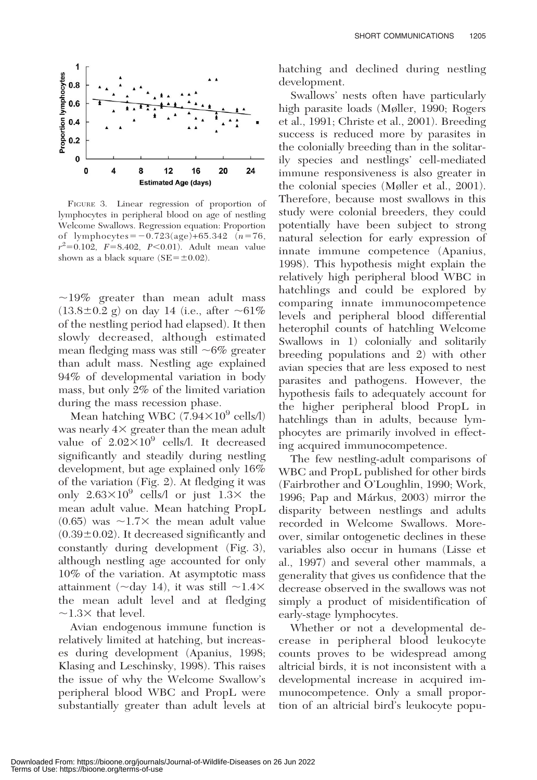

FIGURE 3. Linear regression of proportion of lymphocytes in peripheral blood on age of nestling Welcome Swallows. Regression equation: Proportion of lymphocytes =  $-0.723(age)+65.342$  (n=76,  $r^2 = 0.102$ ,  $F = 8.402$ ,  $P < 0.01$ ). Adult mean value shown as a black square  $(SE = \pm 0.02)$ .

 $\sim$ 19% greater than mean adult mass  $(13.8 \pm 0.2 \text{ g})$  on day 14 (i.e., after  $\sim 61\%$ ) of the nestling period had elapsed). It then slowly decreased, although estimated mean fledging mass was still  $~6\%$  greater than adult mass. Nestling age explained 94% of developmental variation in body mass, but only 2% of the limited variation during the mass recession phase.

Mean hatching WBC  $(7.94\times10^9 \text{ cells/l})$ was nearly  $4\times$  greater than the mean adult value of  $2.02\times10^9$  cells/l. It decreased significantly and steadily during nestling development, but age explained only 16% of the variation (Fig. 2). At fledging it was only  $2.63\times10^9$  cells/l or just  $1.3\times$  the mean adult value. Mean hatching PropL  $(0.65)$  was  $\sim$ 1.7 $\times$  the mean adult value  $(0.39\pm0.02)$ . It decreased significantly and constantly during development (Fig. 3), although nestling age accounted for only 10% of the variation. At asymptotic mass attainment ( $\sim$ day 14), it was still  $\sim$ 1.4 $\times$ the mean adult level and at fledging  $\sim$ 1.3 $\times$  that level.

Avian endogenous immune function is relatively limited at hatching, but increases during development (Apanius, 1998; Klasing and Leschinsky, 1998). This raises the issue of why the Welcome Swallow's peripheral blood WBC and PropL were substantially greater than adult levels at

hatching and declined during nestling development.

Swallows' nests often have particularly high parasite loads (Møller, 1990; Rogers et al., 1991; Christe et al., 2001). Breeding success is reduced more by parasites in the colonially breeding than in the solitarily species and nestlings' cell-mediated immune responsiveness is also greater in the colonial species (Møller et al., 2001). Therefore, because most swallows in this study were colonial breeders, they could potentially have been subject to strong natural selection for early expression of innate immune competence (Apanius, 1998). This hypothesis might explain the relatively high peripheral blood WBC in hatchlings and could be explored by comparing innate immunocompetence levels and peripheral blood differential heterophil counts of hatchling Welcome Swallows in 1) colonially and solitarily breeding populations and 2) with other avian species that are less exposed to nest parasites and pathogens. However, the hypothesis fails to adequately account for the higher peripheral blood PropL in hatchlings than in adults, because lymphocytes are primarily involved in effecting acquired immunocompetence.

The few nestling-adult comparisons of WBC and PropL published for other birds (Fairbrother and O'Loughlin, 1990; Work, 1996; Pap and Márkus, 2003) mirror the disparity between nestlings and adults recorded in Welcome Swallows. Moreover, similar ontogenetic declines in these variables also occur in humans (Lisse et al., 1997) and several other mammals, a generality that gives us confidence that the decrease observed in the swallows was not simply a product of misidentification of early-stage lymphocytes.

Whether or not a developmental decrease in peripheral blood leukocyte counts proves to be widespread among altricial birds, it is not inconsistent with a developmental increase in acquired immunocompetence. Only a small proportion of an altricial bird's leukocyte popu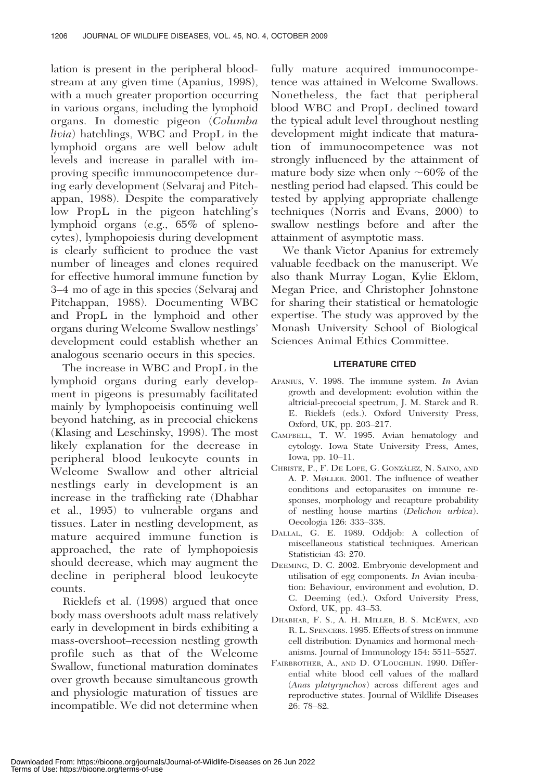lation is present in the peripheral bloodstream at any given time (Apanius, 1998), with a much greater proportion occurring in various organs, including the lymphoid organs. In domestic pigeon (Columba livia) hatchlings, WBC and PropL in the lymphoid organs are well below adult levels and increase in parallel with improving specific immunocompetence during early development (Selvaraj and Pitchappan, 1988). Despite the comparatively low PropL in the pigeon hatchling's lymphoid organs (e.g., 65% of splenocytes), lymphopoiesis during development is clearly sufficient to produce the vast number of lineages and clones required for effective humoral immune function by 3–4 mo of age in this species (Selvaraj and Pitchappan, 1988). Documenting WBC and PropL in the lymphoid and other organs during Welcome Swallow nestlings' development could establish whether an analogous scenario occurs in this species.

The increase in WBC and PropL in the lymphoid organs during early development in pigeons is presumably facilitated mainly by lymphopoeisis continuing well beyond hatching, as in precocial chickens (Klasing and Leschinsky, 1998). The most likely explanation for the decrease in peripheral blood leukocyte counts in Welcome Swallow and other altricial nestlings early in development is an increase in the trafficking rate (Dhabhar et al., 1995) to vulnerable organs and tissues. Later in nestling development, as mature acquired immune function is approached, the rate of lymphopoiesis should decrease, which may augment the decline in peripheral blood leukocyte counts.

Ricklefs et al. (1998) argued that once body mass overshoots adult mass relatively early in development in birds exhibiting a mass-overshoot–recession nestling growth profile such as that of the Welcome Swallow, functional maturation dominates over growth because simultaneous growth and physiologic maturation of tissues are incompatible. We did not determine when

fully mature acquired immunocompetence was attained in Welcome Swallows. Nonetheless, the fact that peripheral blood WBC and PropL declined toward the typical adult level throughout nestling development might indicate that maturation of immunocompetence was not strongly influenced by the attainment of mature body size when only  $\sim 60\%$  of the nestling period had elapsed. This could be tested by applying appropriate challenge techniques (Norris and Evans, 2000) to swallow nestlings before and after the attainment of asymptotic mass.

We thank Victor Apanius for extremely valuable feedback on the manuscript. We also thank Murray Logan, Kylie Eklom, Megan Price, and Christopher Johnstone for sharing their statistical or hematologic expertise. The study was approved by the Monash University School of Biological Sciences Animal Ethics Committee.

## LITERATURE CITED

- APANIUS, V. 1998. The immune system. In Avian growth and development: evolution within the altricial-precocial spectrum, J. M. Starck and R. E. Ricklefs (eds.). Oxford University Press, Oxford, UK, pp. 203–217.
- CAMPBELL, T. W. 1995. Avian hematology and cytology. Iowa State University Press, Ames, Iowa, pp. 10–11.
- CHRISTE, P., F. DE LOPE, G. GONZÁLEZ, N. SAINO, AND A. P. MØLLER. 2001. The influence of weather conditions and ectoparasites on immune responses, morphology and recapture probability of nestling house martins (Delichon urbica). Oecologia 126: 333–338.
- DALLAL, G. E. 1989. Oddjob: A collection of miscellaneous statistical techniques. American Statistician 43: 270.
- DEEMING, D. C. 2002. Embryonic development and utilisation of egg components. In Avian incubation: Behaviour, environment and evolution, D. C. Deeming (ed.). Oxford University Press, Oxford, UK, pp. 43–53.
- DHABHAR, F. S., A. H. MILLER, B. S. MCEWEN, AND R. L. SPENCERS. 1995. Effects of stress on immune cell distribution: Dynamics and hormonal mechanisms. Journal of Immunology 154: 5511–5527.
- FAIRBROTHER, A., AND D. O'LOUGHLIN. 1990. Differential white blood cell values of the mallard (Anas platyrynchos) across different ages and reproductive states. Journal of Wildlife Diseases 26: 78–82.